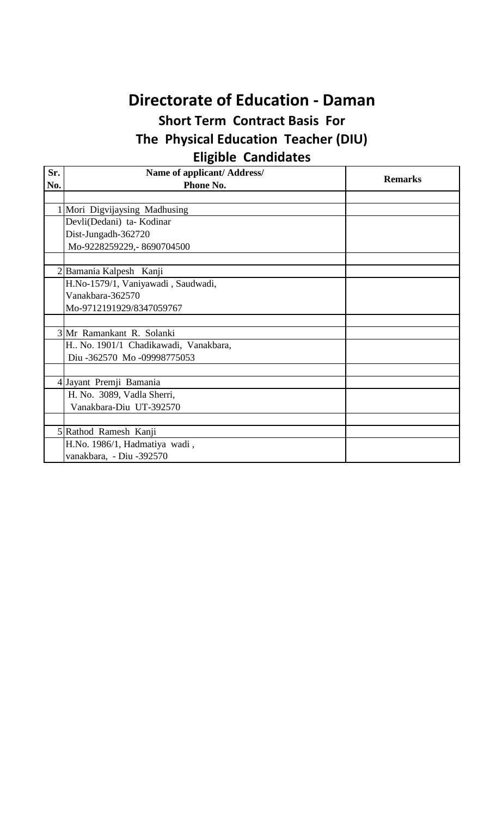## **Directorate of Education - Daman**

## **Short Term Contract Basis For The Physical Education Teacher (DIU) Eligible Candidates**

| Sr. | Name of applicant/ Address/            | <b>Remarks</b> |
|-----|----------------------------------------|----------------|
| No. | Phone No.                              |                |
|     |                                        |                |
|     | 1 Mori Digvijaysing Madhusing          |                |
|     | Devli(Dedani) ta- Kodinar              |                |
|     | Dist-Jungadh-362720                    |                |
|     | Mo-9228259229,-8690704500              |                |
|     |                                        |                |
|     | Bamania Kalpesh Kanji                  |                |
|     | H.No-1579/1, Vaniyawadi, Saudwadi,     |                |
|     | Vanakbara-362570                       |                |
|     | Mo-9712191929/8347059767               |                |
|     |                                        |                |
|     | 3 Mr Ramankant R. Solanki              |                |
|     | H., No. 1901/1 Chadikawadi, Vanakbara, |                |
|     | Diu-362570 Mo-09998775053              |                |
|     |                                        |                |
| 4   | Jayant Premji Bamania                  |                |
|     | H. No. 3089, Vadla Sherri,             |                |
|     | Vanakbara-Diu UT-392570                |                |
|     |                                        |                |
| 5   | Rathod Ramesh Kanji                    |                |
|     | H.No. 1986/1, Hadmatiya wadi,          |                |
|     | vanakbara, - Diu -392570               |                |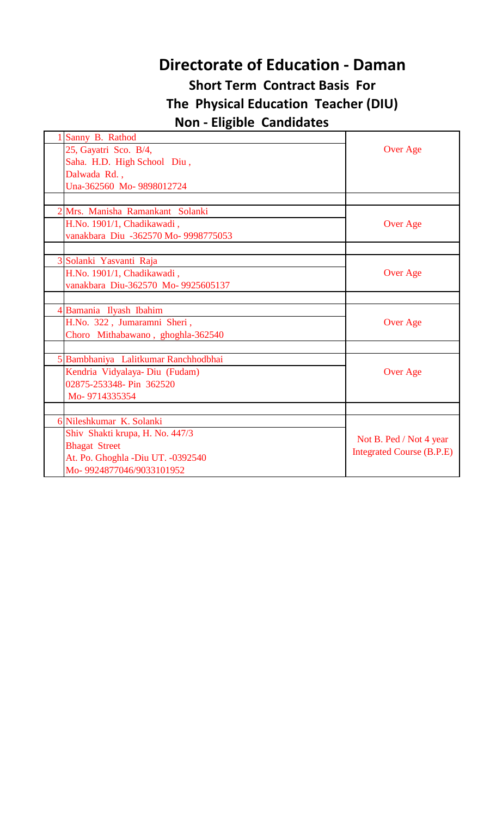## **Directorate of Education - Daman**

## **Short Term Contract Basis For The Physical Education Teacher (DIU) Non - Eligible Candidates**

| Sanny B. Rathod                      |                                  |
|--------------------------------------|----------------------------------|
| 25, Gayatri Sco. B/4,                | Over Age                         |
| Saha. H.D. High School Diu,          |                                  |
| Dalwada Rd.,                         |                                  |
| Una-362560 Mo-9898012724             |                                  |
|                                      |                                  |
| 2 Mrs. Manisha Ramankant Solanki     |                                  |
| H.No. 1901/1, Chadikawadi,           | Over Age                         |
| vanakbara Diu -362570 Mo- 9998775053 |                                  |
|                                      |                                  |
| 3 Solanki Yasvanti Raja              |                                  |
| H.No. 1901/1, Chadikawadi,           | <b>Over Age</b>                  |
| vanakbara Diu-362570 Mo- 9925605137  |                                  |
|                                      |                                  |
| 4 Bamania Ilyash Ibahim              |                                  |
| H.No. 322, Jumaramni Sheri,          | Over Age                         |
| Choro Mithabawano, ghoghla-362540    |                                  |
|                                      |                                  |
| 5 Bambhaniya Lalitkumar Ranchhodbhai |                                  |
| Kendria Vidyalaya- Diu (Fudam)       | Over Age                         |
| 02875-253348- Pin 362520             |                                  |
| Mo-9714335354                        |                                  |
|                                      |                                  |
| 6 Nileshkumar K. Solanki             |                                  |
| Shiv Shakti krupa, H. No. 447/3      | Not B. Ped / Not 4 year          |
| <b>Bhagat Street</b>                 |                                  |
| At. Po. Ghoghla -Diu UT. -0392540    | <b>Integrated Course (B.P.E)</b> |
| Mo-9924877046/9033101952             |                                  |